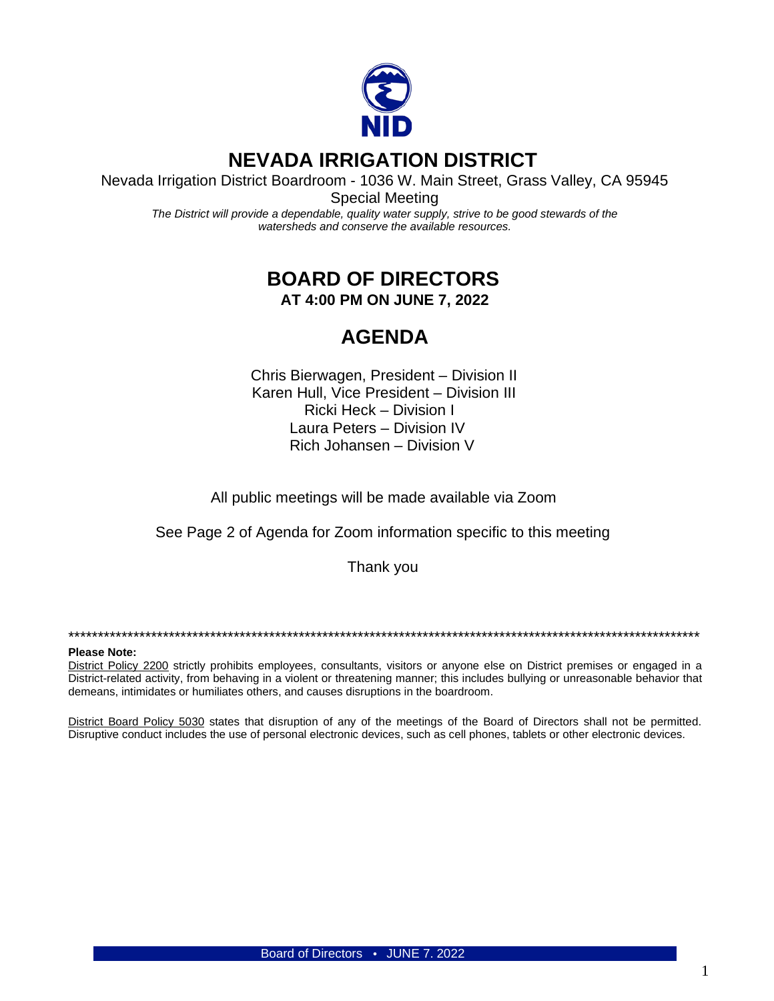

# **NEVADA IRRIGATION DISTRICT**

Nevada Irrigation District Boardroom - 1036 W. Main Street, Grass Valley, CA 95945

Special Meeting *The District will provide a dependable, quality water supply, strive to be good stewards of the watersheds and conserve the available resources.*

## **BOARD OF DIRECTORS AT 4:00 PM ON JUNE 7, 2022**

## **AGENDA**

Chris Bierwagen, President – Division II Karen Hull, Vice President – Division III Ricki Heck – Division I Laura Peters – Division IV Rich Johansen – Division V

All public meetings will be made available via Zoom

See Page 2 of Agenda for Zoom information specific to this meeting

Thank you

\*\*\*\*\*\*\*\*\*\*\*\*\*\*\*\*\*\*\*\*\*\*\*\*\*\*\*\*\*\*\*\*\*\*\*\*\*\*\*\*\*\*\*\*\*\*\*\*\*\*\*\*\*\*\*\*\*\*\*\*\*\*\*\*\*\*\*\*\*\*\*\*\*\*\*\*\*\*\*\*\*\*\*\*\*\*\*\*\*\*\*\*\*\*\*\*\*\*\*\*\*\*\*\*\*\*\*

#### **Please Note:**

District Policy 2200 strictly prohibits employees, consultants, visitors or anyone else on District premises or engaged in a District-related activity, from behaving in a violent or threatening manner; this includes bullying or unreasonable behavior that demeans, intimidates or humiliates others, and causes disruptions in the boardroom.

District Board Policy 5030 states that disruption of any of the meetings of the Board of Directors shall not be permitted. Disruptive conduct includes the use of personal electronic devices, such as cell phones, tablets or other electronic devices.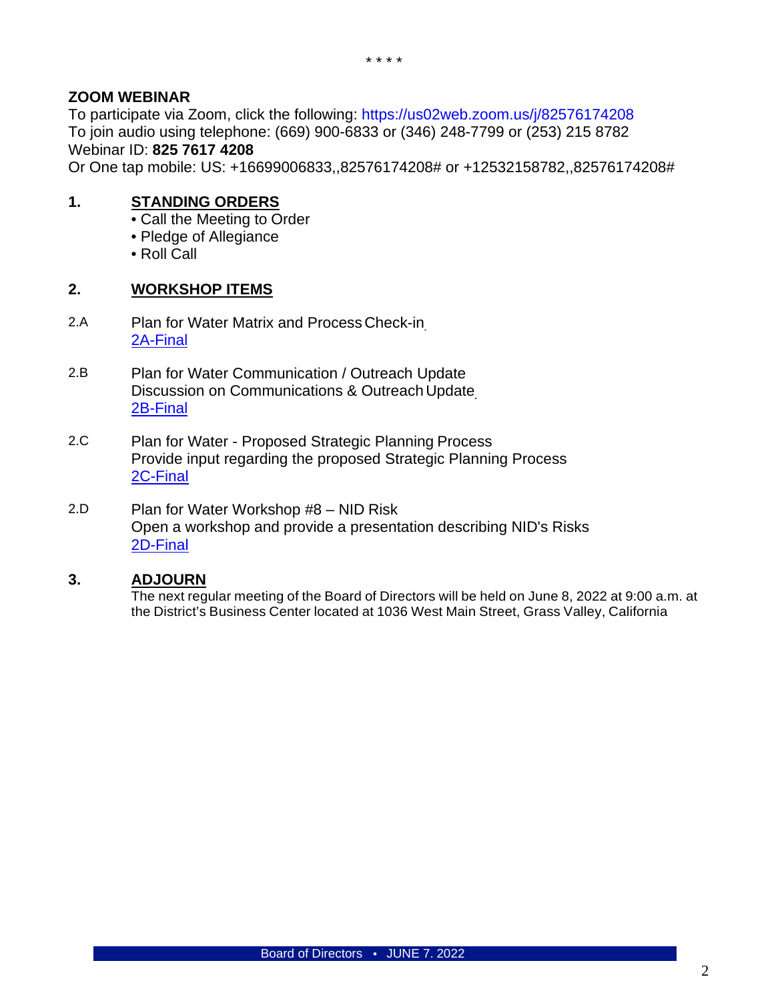### **ZOOM WEBINAR**

To participate via Zoom, click the following:<https://us02web.zoom.us/j/82576174208> To join audio using telephone: (669) 900-6833 or (346) 248-7799 or (253) 215 8782 Webinar ID: **825 7617 4208**

Or One tap mobile: US: +16699006833,,82576174208# or +12532158782,,82576174208#

### **1. STANDING ORDERS**

- Call the Meeting to Order
- Pledge of Allegiance
- Roll Call

#### **2. WORKSHOP ITEMS**

- 2.A Plan for Water Matrix and Process Check-i[n](https://www.nidwater.com/files/25ba7c4b1/2A-Final.pdf) [2A-Final](https://www.nidwater.com/files/25ba7c4b1/2A-Final.pdf)
- 2.B Plan for Water Communication / Outreach Update Discussion on Communications & Outreach Updat[e](https://www.nidwater.com/files/0422e9717/2B-Final.pdf) [2B-Final](https://www.nidwater.com/files/0422e9717/2B-Final.pdf)
- 2.C Plan for Water Proposed Strategic Planning Process Provide input regarding the proposed Strategic Planning Process [2C-Final](https://www.nidwater.com/files/c534a3a16/2C-Final.pdf)
- 2.D Plan for Water Workshop #8 NID Risk Open a workshop and provide a presentation describing NID's Risks [2D-Final](https://www.nidwater.com/files/5dab967cf/2D-Final.pdf)

#### **3. ADJOURN**

The next regular meeting of the Board of Directors will be held on June 8, 2022 at 9:00 a.m. at the District's Business Center located at 1036 West Main Street, Grass Valley, California